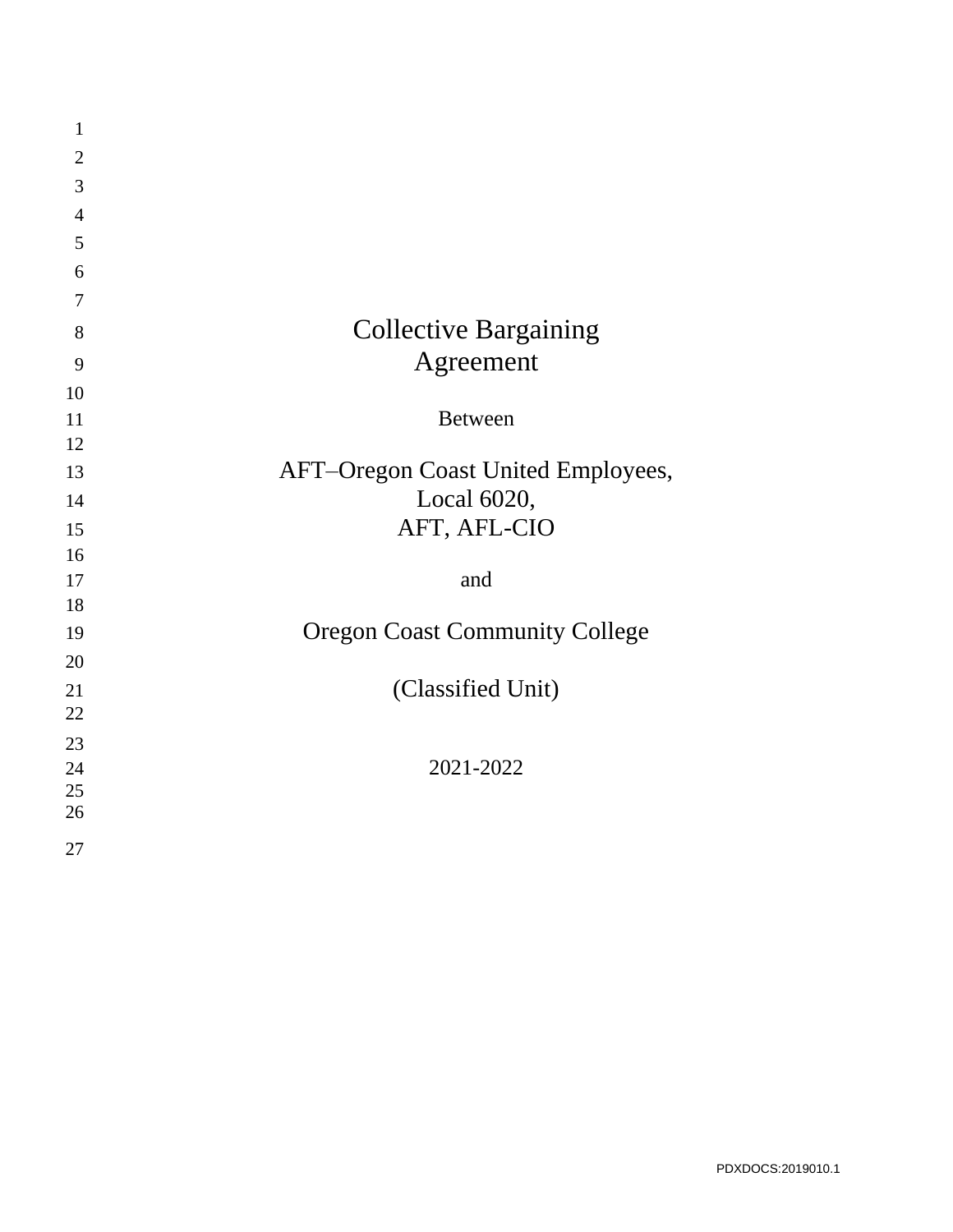| $\mathbf{1}$   |                                       |
|----------------|---------------------------------------|
| $\overline{2}$ |                                       |
| 3              |                                       |
| $\overline{4}$ |                                       |
| 5              |                                       |
| 6              |                                       |
| $\tau$         |                                       |
| 8              | <b>Collective Bargaining</b>          |
| 9              | Agreement                             |
| 10             |                                       |
| 11             | <b>Between</b>                        |
| 12             |                                       |
| 13             | AFT-Oregon Coast United Employees,    |
| 14             | Local 6020,                           |
| 15             | AFT, AFL-CIO                          |
| 16             |                                       |
| 17             | and                                   |
| 18             |                                       |
| 19             | <b>Oregon Coast Community College</b> |
| 20             |                                       |
| 21             | (Classified Unit)                     |
| 22             |                                       |
| 23             |                                       |
| 24             | 2021-2022                             |
| 25             |                                       |
| 26             |                                       |
| 27             |                                       |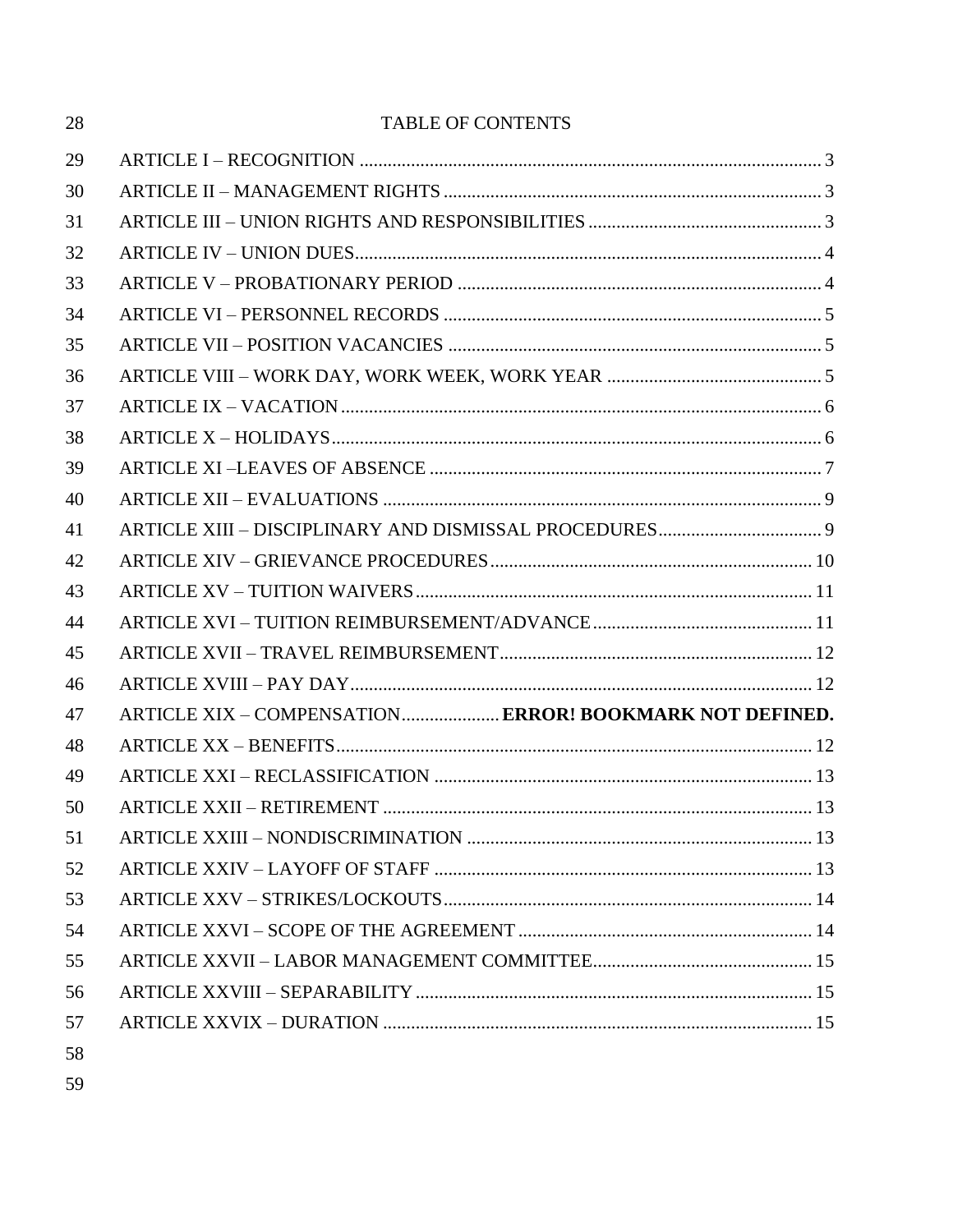| 28 | <b>TABLE OF CONTENTS</b>                                |  |
|----|---------------------------------------------------------|--|
| 29 |                                                         |  |
| 30 |                                                         |  |
| 31 |                                                         |  |
| 32 |                                                         |  |
| 33 |                                                         |  |
| 34 |                                                         |  |
| 35 |                                                         |  |
| 36 |                                                         |  |
| 37 |                                                         |  |
| 38 |                                                         |  |
| 39 |                                                         |  |
| 40 |                                                         |  |
| 41 |                                                         |  |
| 42 |                                                         |  |
| 43 |                                                         |  |
| 44 |                                                         |  |
| 45 |                                                         |  |
| 46 |                                                         |  |
| 47 | ARTICLE XIX - COMPENSATION ERROR! BOOKMARK NOT DEFINED. |  |
| 48 |                                                         |  |
| 49 |                                                         |  |
| 50 |                                                         |  |
| 51 |                                                         |  |
| 52 |                                                         |  |
| 53 |                                                         |  |
| 54 |                                                         |  |
| 55 |                                                         |  |
| 56 |                                                         |  |
| 57 |                                                         |  |
| 58 |                                                         |  |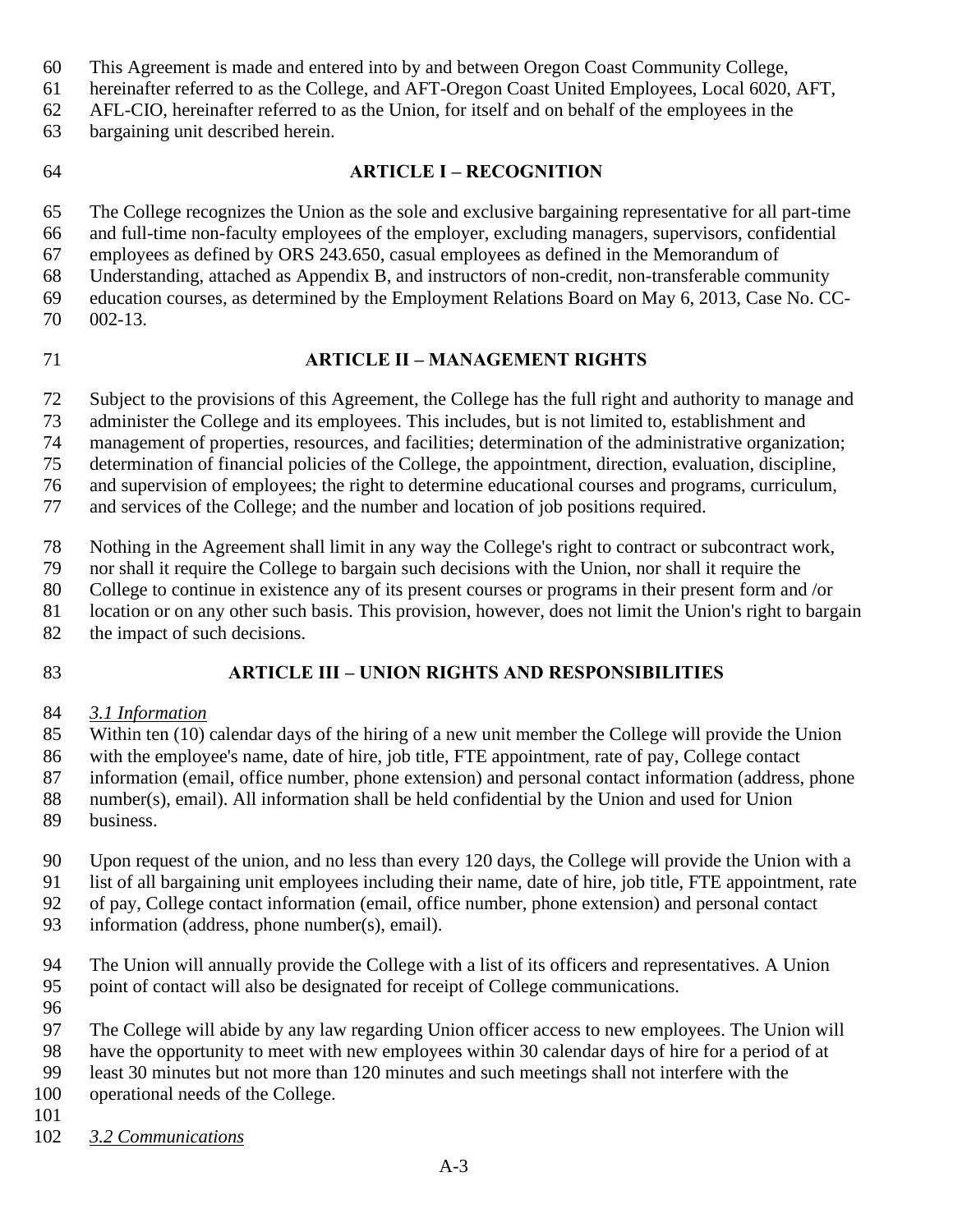- This Agreement is made and entered into by and between Oregon Coast Community College,
- hereinafter referred to as the College, and AFT-Oregon Coast United Employees, Local 6020, AFT,
- AFL-CIO, hereinafter referred to as the Union, for itself and on behalf of the employees in the
- bargaining unit described herein.
- <span id="page-2-0"></span>

### **ARTICLE I – RECOGNITION**

 The College recognizes the Union as the sole and exclusive bargaining representative for all part-time and full-time non-faculty employees of the employer, excluding managers, supervisors, confidential employees as defined by ORS 243.650, casual employees as defined in the Memorandum of Understanding, attached as Appendix B, and instructors of non-credit, non-transferable community

- education courses, as determined by the Employment Relations Board on May 6, 2013, Case No. CC-002-13.
- <span id="page-2-1"></span>

### **ARTICLE II – MANAGEMENT RIGHTS**

Subject to the provisions of this Agreement, the College has the full right and authority to manage and

administer the College and its employees. This includes, but is not limited to, establishment and

management of properties, resources, and facilities; determination of the administrative organization;

determination of financial policies of the College, the appointment, direction, evaluation, discipline,

and supervision of employees; the right to determine educational courses and programs, curriculum,

and services of the College; and the number and location of job positions required.

Nothing in the Agreement shall limit in any way the College's right to contract or subcontract work,

nor shall it require the College to bargain such decisions with the Union, nor shall it require the

College to continue in existence any of its present courses or programs in their present form and /or

location or on any other such basis. This provision, however, does not limit the Union's right to bargain

82 the impact of such decisions.

<span id="page-2-2"></span>

### **ARTICLE III – UNION RIGHTS AND RESPONSIBILITIES**

*3.1 Information*

Within ten (10) calendar days of the hiring of a new unit member the College will provide the Union

with the employee's name, date of hire, job title, FTE appointment, rate of pay, College contact

information (email, office number, phone extension) and personal contact information (address, phone

 number(s), email). All information shall be held confidential by the Union and used for Union business.

 Upon request of the union, and no less than every 120 days, the College will provide the Union with a list of all bargaining unit employees including their name, date of hire, job title, FTE appointment, rate of pay, College contact information (email, office number, phone extension) and personal contact

- information (address, phone number(s), email).
- The Union will annually provide the College with a list of its officers and representatives. A Union point of contact will also be designated for receipt of College communications.
- 

The College will abide by any law regarding Union officer access to new employees. The Union will

have the opportunity to meet with new employees within 30 calendar days of hire for a period of at

least 30 minutes but not more than 120 minutes and such meetings shall not interfere with the

operational needs of the College.

*3.2 Communications*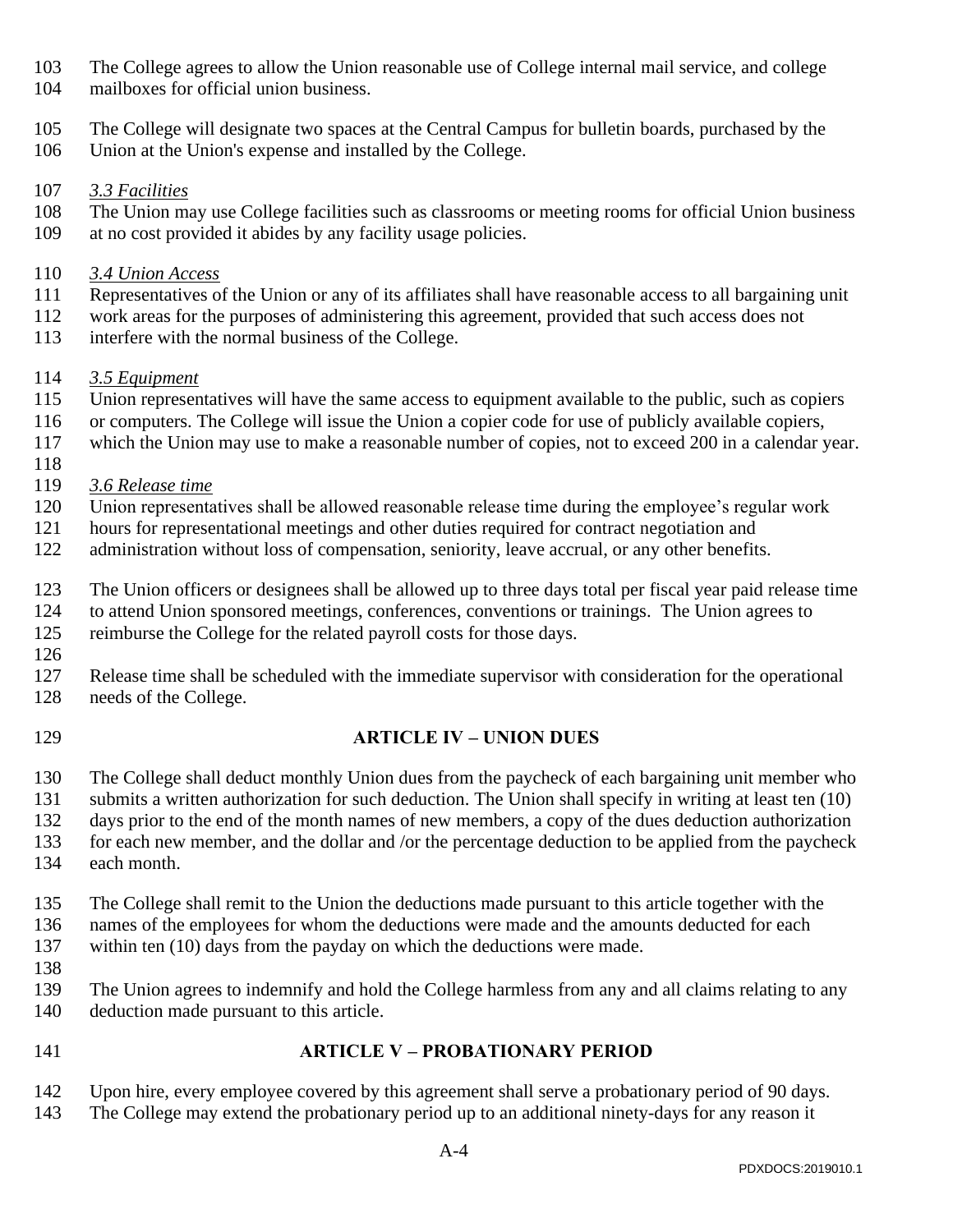- The College agrees to allow the Union reasonable use of College internal mail service, and college
- mailboxes for official union business.
- The College will designate two spaces at the Central Campus for bulletin boards, purchased by the
- Union at the Union's expense and installed by the College.

### *3.3 Facilities*

 The Union may use College facilities such as classrooms or meeting rooms for official Union business at no cost provided it abides by any facility usage policies.

### *3.4 Union Access*

- Representatives of the Union or any of its affiliates shall have reasonable access to all bargaining unit
- work areas for the purposes of administering this agreement, provided that such access does not
- interfere with the normal business of the College.

# *3.5 Equipment*

- Union representatives will have the same access to equipment available to the public, such as copiers
- or computers. The College will issue the Union a copier code for use of publicly available copiers,
- which the Union may use to make a reasonable number of copies, not to exceed 200 in a calendar year.
- *3.6 Release time*
- Union representatives shall be allowed reasonable release time during the employee's regular work
- hours for representational meetings and other duties required for contract negotiation and
- administration without loss of compensation, seniority, leave accrual, or any other benefits.
- The Union officers or designees shall be allowed up to three days total per fiscal year paid release time
- to attend Union sponsored meetings, conferences, conventions or trainings. The Union agrees to reimburse the College for the related payroll costs for those days.
- 
- Release time shall be scheduled with the immediate supervisor with consideration for the operational needs of the College.
- <span id="page-3-0"></span>

# **ARTICLE IV – UNION DUES**

The College shall deduct monthly Union dues from the paycheck of each bargaining unit member who

submits a written authorization for such deduction. The Union shall specify in writing at least ten (10)

- days prior to the end of the month names of new members, a copy of the dues deduction authorization
- for each new member, and the dollar and /or the percentage deduction to be applied from the paycheck
- each month.
- The College shall remit to the Union the deductions made pursuant to this article together with the names of the employees for whom the deductions were made and the amounts deducted for each within ten (10) days from the payday on which the deductions were made.
- 
- The Union agrees to indemnify and hold the College harmless from any and all claims relating to any deduction made pursuant to this article.
- <span id="page-3-1"></span>

### **ARTICLE V – PROBATIONARY PERIOD**

- Upon hire, every employee covered by this agreement shall serve a probationary period of 90 days.
- The College may extend the probationary period up to an additional ninety-days for any reason it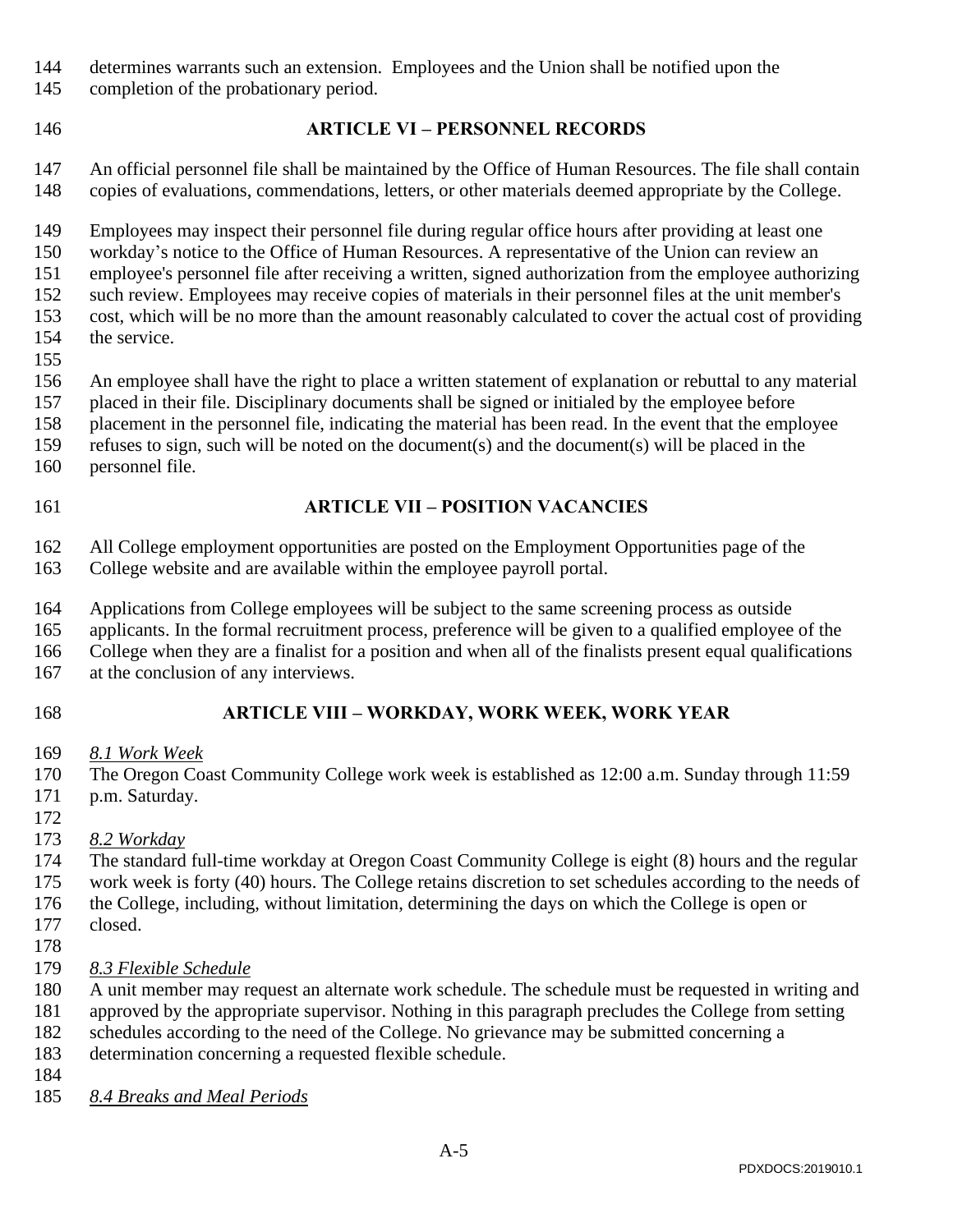- determines warrants such an extension. Employees and the Union shall be notified upon the
- completion of the probationary period.
- <span id="page-4-0"></span>

### **ARTICLE VI – PERSONNEL RECORDS**

 An official personnel file shall be maintained by the Office of Human Resources. The file shall contain copies of evaluations, commendations, letters, or other materials deemed appropriate by the College.

Employees may inspect their personnel file during regular office hours after providing at least one

workday's notice to the Office of Human Resources. A representative of the Union can review an

employee's personnel file after receiving a written, signed authorization from the employee authorizing

- such review. Employees may receive copies of materials in their personnel files at the unit member's
- cost, which will be no more than the amount reasonably calculated to cover the actual cost of providing the service.
- 

An employee shall have the right to place a written statement of explanation or rebuttal to any material

placed in their file. Disciplinary documents shall be signed or initialed by the employee before

- placement in the personnel file, indicating the material has been read. In the event that the employee
- refuses to sign, such will be noted on the document(s) and the document(s) will be placed in the
- personnel file.
- <span id="page-4-1"></span>

### **ARTICLE VII – POSITION VACANCIES**

- All College employment opportunities are posted on the Employment Opportunities page of the
- College website and are available within the employee payroll portal.
- Applications from College employees will be subject to the same screening process as outside
- applicants. In the formal recruitment process, preference will be given to a qualified employee of the
- College when they are a finalist for a position and when all of the finalists present equal qualifications
- at the conclusion of any interviews.
- <span id="page-4-2"></span>

# **ARTICLE VIII – WORKDAY, WORK WEEK, WORK YEAR**

*8.1 Work Week*

 The Oregon Coast Community College work week is established as 12:00 a.m. Sunday through 11:59 p.m. Saturday.

- 
- *8.2 Workday*

 The standard full-time workday at Oregon Coast Community College is eight (8) hours and the regular work week is forty (40) hours. The College retains discretion to set schedules according to the needs of the College, including, without limitation, determining the days on which the College is open or

- closed.
- 
- *8.3 Flexible Schedule*

A unit member may request an alternate work schedule. The schedule must be requested in writing and

- approved by the appropriate supervisor. Nothing in this paragraph precludes the College from setting
- schedules according to the need of the College. No grievance may be submitted concerning a determination concerning a requested flexible schedule.
- 
- *8.4 Breaks and Meal Periods*

PDXDOCS:2019010.1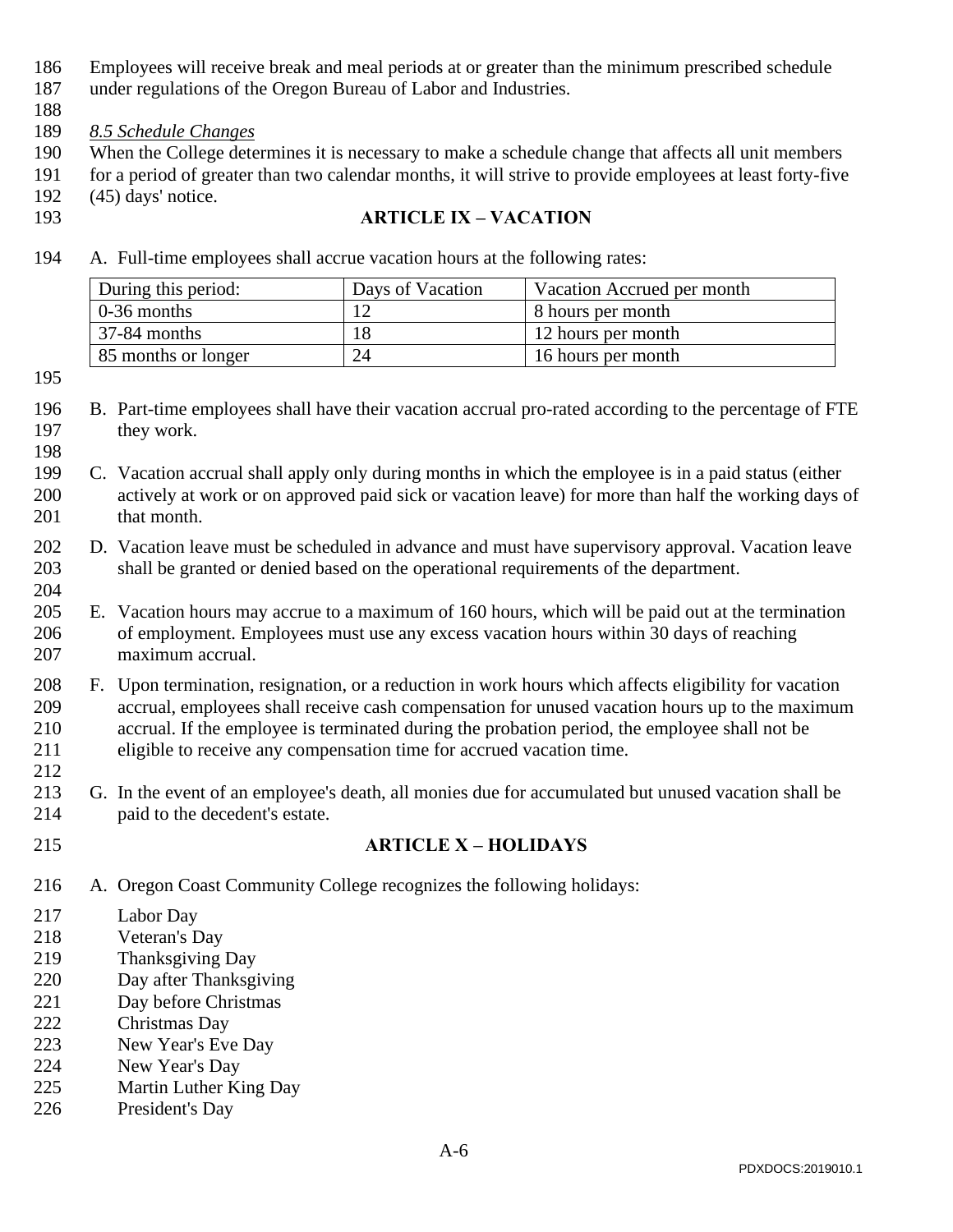- Employees will receive break and meal periods at or greater than the minimum prescribed schedule
- under regulations of the Oregon Bureau of Labor and Industries.
- 
- *8.5 Schedule Changes*
- When the College determines it is necessary to make a schedule change that affects all unit members
- for a period of greater than two calendar months, it will strive to provide employees at least forty-five (45) days' notice.
- <span id="page-5-0"></span>

### **ARTICLE IX – VACATION**

A. Full-time employees shall accrue vacation hours at the following rates:

| During this period: | Days of Vacation | Vacation Accrued per month |
|---------------------|------------------|----------------------------|
| $0-36$ months       |                  | 8 hours per month          |
| 37-84 months        |                  | 12 hours per month         |
| 85 months or longer | 24               | 16 hours per month         |

- B. Part-time employees shall have their vacation accrual pro-rated according to the percentage of FTE 197 they work.
- C. Vacation accrual shall apply only during months in which the employee is in a paid status (either actively at work or on approved paid sick or vacation leave) for more than half the working days of 201 that month.
- D. Vacation leave must be scheduled in advance and must have supervisory approval. Vacation leave shall be granted or denied based on the operational requirements of the department.
- E. Vacation hours may accrue to a maximum of 160 hours, which will be paid out at the termination of employment. Employees must use any excess vacation hours within 30 days of reaching maximum accrual.
- F. Upon termination, resignation, or a reduction in work hours which affects eligibility for vacation accrual, employees shall receive cash compensation for unused vacation hours up to the maximum accrual. If the employee is terminated during the probation period, the employee shall not be eligible to receive any compensation time for accrued vacation time.
- G. In the event of an employee's death, all monies due for accumulated but unused vacation shall be paid to the decedent's estate.
- <span id="page-5-1"></span>

# **ARTICLE X – HOLIDAYS**

- A. Oregon Coast Community College recognizes the following holidays:
- Labor Day
- Veteran's Day
- Thanksgiving Day
- Day after Thanksgiving
- Day before Christmas
- Christmas Day
- New Year's Eve Day
- New Year's Day
- Martin Luther King Day
- President's Day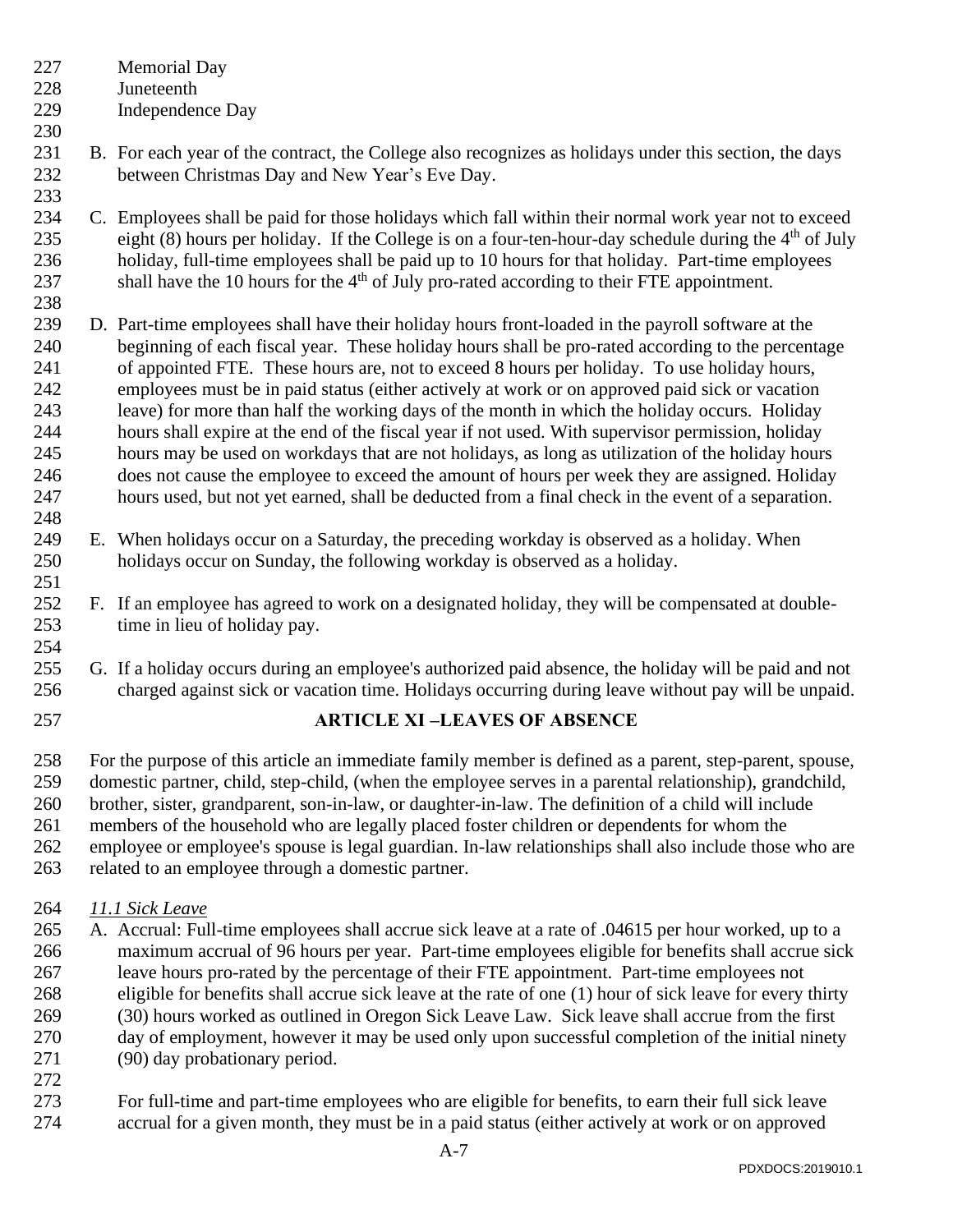- Memorial Day
- Juneteenth

- Independence Day
- B. For each year of the contract, the College also recognizes as holidays under this section, the days between Christmas Day and New Year's Eve Day.
- C. Employees shall be paid for those holidays which fall within their normal work year not to exceed 235 eight (8) hours per holiday. If the College is on a four-ten-hour-day schedule during the  $4<sup>th</sup>$  of July holiday, full-time employees shall be paid up to 10 hours for that holiday. Part-time employees 237 shall have the 10 hours for the  $4<sup>th</sup>$  of July pro-rated according to their FTE appointment.
- D. Part-time employees shall have their holiday hours front-loaded in the payroll software at the beginning of each fiscal year. These holiday hours shall be pro-rated according to the percentage of appointed FTE. These hours are, not to exceed 8 hours per holiday. To use holiday hours, employees must be in paid status (either actively at work or on approved paid sick or vacation leave) for more than half the working days of the month in which the holiday occurs. Holiday hours shall expire at the end of the fiscal year if not used. With supervisor permission, holiday hours may be used on workdays that are not holidays, as long as utilization of the holiday hours does not cause the employee to exceed the amount of hours per week they are assigned. Holiday hours used, but not yet earned, shall be deducted from a final check in the event of a separation.
- E. When holidays occur on a Saturday, the preceding workday is observed as a holiday. When holidays occur on Sunday, the following workday is observed as a holiday.
- F. If an employee has agreed to work on a designated holiday, they will be compensated at double- time in lieu of holiday pay.
- G. If a holiday occurs during an employee's authorized paid absence, the holiday will be paid and not charged against sick or vacation time. Holidays occurring during leave without pay will be unpaid.
- <span id="page-6-0"></span>

# **ARTICLE XI –LEAVES OF ABSENCE**

- For the purpose of this article an immediate family member is defined as a parent, step-parent, spouse, domestic partner, child, step-child, (when the employee serves in a parental relationship), grandchild, brother, sister, grandparent, son-in-law, or daughter-in-law. The definition of a child will include members of the household who are legally placed foster children or dependents for whom the employee or employee's spouse is legal guardian. In-law relationships shall also include those who are
- related to an employee through a domestic partner.

# *11.1 Sick Leave*

- A. Accrual: Full-time employees shall accrue sick leave at a rate of .04615 per hour worked, up to a maximum accrual of 96 hours per year. Part-time employees eligible for benefits shall accrue sick leave hours pro-rated by the percentage of their FTE appointment. Part-time employees not eligible for benefits shall accrue sick leave at the rate of one (1) hour of sick leave for every thirty (30) hours worked as outlined in Oregon Sick Leave Law. Sick leave shall accrue from the first day of employment, however it may be used only upon successful completion of the initial ninety (90) day probationary period.
- For full-time and part-time employees who are eligible for benefits, to earn their full sick leave accrual for a given month, they must be in a paid status (either actively at work or on approved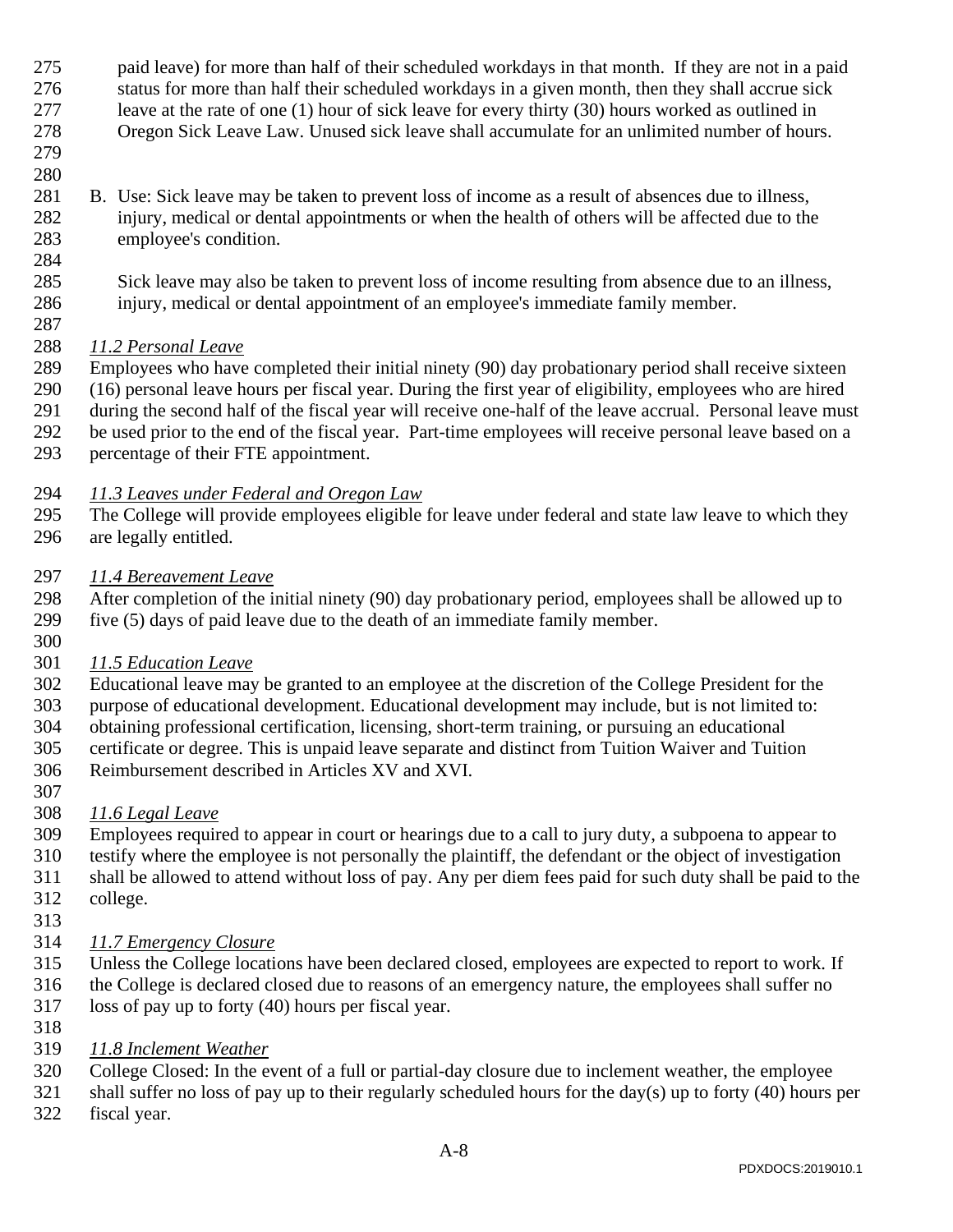- paid leave) for more than half of their scheduled workdays in that month. If they are not in a paid
- status for more than half their scheduled workdays in a given month, then they shall accrue sick
- leave at the rate of one (1) hour of sick leave for every thirty (30) hours worked as outlined in Oregon Sick Leave Law. Unused sick leave shall accumulate for an unlimited number of hours.
- 
- B. Use: Sick leave may be taken to prevent loss of income as a result of absences due to illness,
- injury, medical or dental appointments or when the health of others will be affected due to the employee's condition.
- Sick leave may also be taken to prevent loss of income resulting from absence due to an illness, injury, medical or dental appointment of an employee's immediate family member.

#### *11.2 Personal Leave*

- Employees who have completed their initial ninety (90) day probationary period shall receive sixteen
- (16) personal leave hours per fiscal year. During the first year of eligibility, employees who are hired
- during the second half of the fiscal year will receive one-half of the leave accrual. Personal leave must
- be used prior to the end of the fiscal year. Part-time employees will receive personal leave based on a
- percentage of their FTE appointment.

# *11.3 Leaves under Federal and Oregon Law*

- The College will provide employees eligible for leave under federal and state law leave to which they are legally entitled.
- *11.4 Bereavement Leave*
- After completion of the initial ninety (90) day probationary period, employees shall be allowed up to five (5) days of paid leave due to the death of an immediate family member.
- 
- *11.5 Education Leave*
- Educational leave may be granted to an employee at the discretion of the College President for the
- purpose of educational development. Educational development may include, but is not limited to:
- obtaining professional certification, licensing, short-term training, or pursuing an educational certificate or degree. This is unpaid leave separate and distinct from Tuition Waiver and Tuition
- Reimbursement described in Articles XV and XVI.
- 

# *11.6 Legal Leave*

- Employees required to appear in court or hearings due to a call to jury duty, a subpoena to appear to testify where the employee is not personally the plaintiff, the defendant or the object of investigation
- shall be allowed to attend without loss of pay. Any per diem fees paid for such duty shall be paid to the college.
- 
- *11.7 Emergency Closure*
- Unless the College locations have been declared closed, employees are expected to report to work. If
- the College is declared closed due to reasons of an emergency nature, the employees shall suffer no
- loss of pay up to forty (40) hours per fiscal year.
- *11.8 Inclement Weather*
- College Closed: In the event of a full or partial-day closure due to inclement weather, the employee
- 321 shall suffer no loss of pay up to their regularly scheduled hours for the day(s) up to forty (40) hours per
- fiscal year.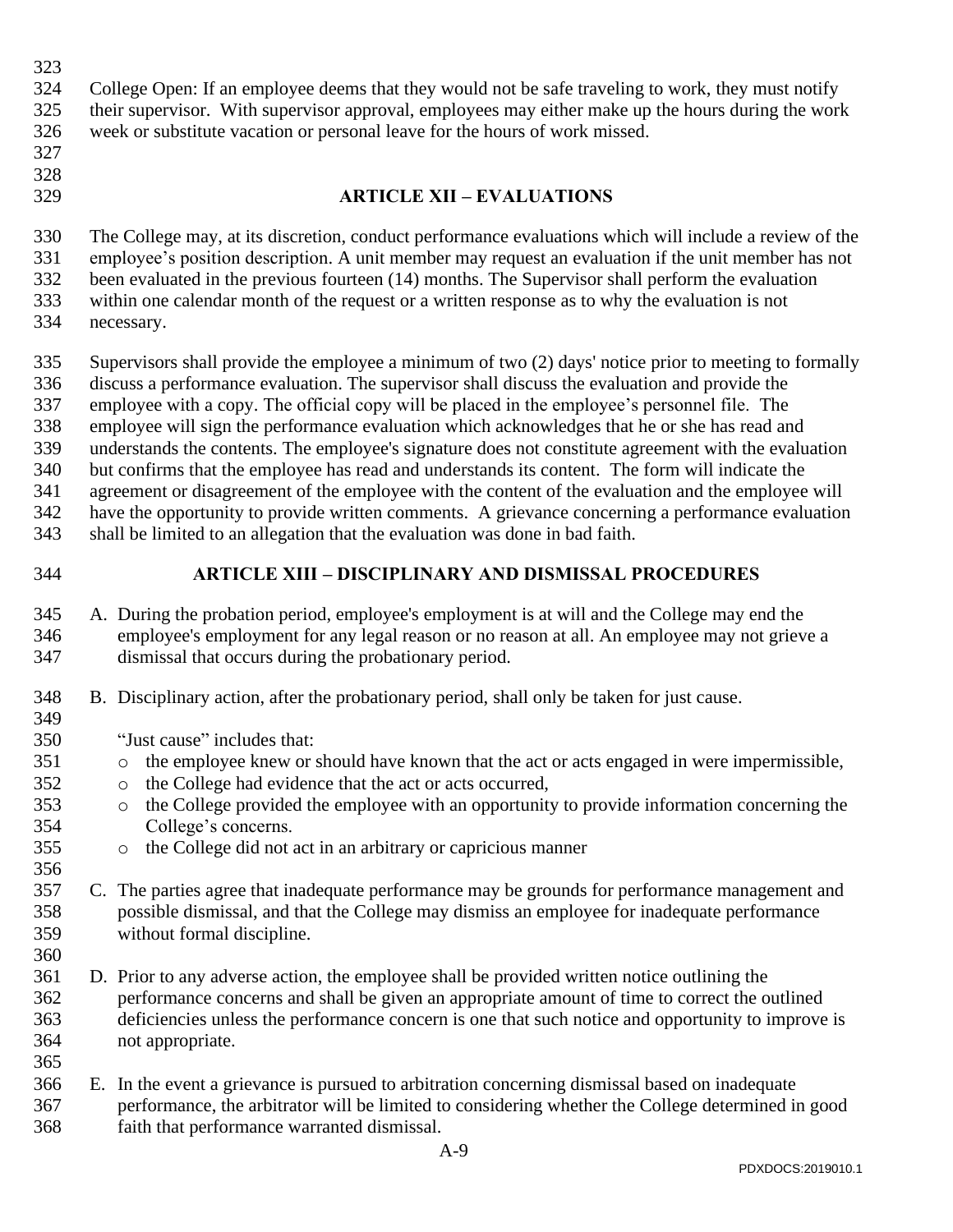<span id="page-8-1"></span><span id="page-8-0"></span>

| 323<br>324<br>325<br>326<br>327                             | College Open: If an employee deems that they would not be safe traveling to work, they must notify<br>their supervisor. With supervisor approval, employees may either make up the hours during the work<br>week or substitute vacation or personal leave for the hours of work missed.                                                                                                                                                                                                                                                                                                                                                                                                                                                                                                                                                                                                                      |  |  |  |  |  |  |  |  |  |
|-------------------------------------------------------------|--------------------------------------------------------------------------------------------------------------------------------------------------------------------------------------------------------------------------------------------------------------------------------------------------------------------------------------------------------------------------------------------------------------------------------------------------------------------------------------------------------------------------------------------------------------------------------------------------------------------------------------------------------------------------------------------------------------------------------------------------------------------------------------------------------------------------------------------------------------------------------------------------------------|--|--|--|--|--|--|--|--|--|
| 328<br>329                                                  | <b>ARTICLE XII - EVALUATIONS</b>                                                                                                                                                                                                                                                                                                                                                                                                                                                                                                                                                                                                                                                                                                                                                                                                                                                                             |  |  |  |  |  |  |  |  |  |
| 330<br>331<br>332<br>333<br>334                             | The College may, at its discretion, conduct performance evaluations which will include a review of the<br>employee's position description. A unit member may request an evaluation if the unit member has not<br>been evaluated in the previous fourteen (14) months. The Supervisor shall perform the evaluation<br>within one calendar month of the request or a written response as to why the evaluation is not<br>necessary.                                                                                                                                                                                                                                                                                                                                                                                                                                                                            |  |  |  |  |  |  |  |  |  |
| 335<br>336<br>337<br>338<br>339<br>340<br>341<br>342<br>343 | Supervisors shall provide the employee a minimum of two (2) days' notice prior to meeting to formally<br>discuss a performance evaluation. The supervisor shall discuss the evaluation and provide the<br>employee with a copy. The official copy will be placed in the employee's personnel file. The<br>employee will sign the performance evaluation which acknowledges that he or she has read and<br>understands the contents. The employee's signature does not constitute agreement with the evaluation<br>but confirms that the employee has read and understands its content. The form will indicate the<br>agreement or disagreement of the employee with the content of the evaluation and the employee will<br>have the opportunity to provide written comments. A grievance concerning a performance evaluation<br>shall be limited to an allegation that the evaluation was done in bad faith. |  |  |  |  |  |  |  |  |  |
| 344                                                         | <b>ARTICLE XIII - DISCIPLINARY AND DISMISSAL PROCEDURES</b>                                                                                                                                                                                                                                                                                                                                                                                                                                                                                                                                                                                                                                                                                                                                                                                                                                                  |  |  |  |  |  |  |  |  |  |
| 345<br>346<br>347                                           | A. During the probation period, employee's employment is at will and the College may end the<br>employee's employment for any legal reason or no reason at all. An employee may not grieve a<br>dismissal that occurs during the probationary period.                                                                                                                                                                                                                                                                                                                                                                                                                                                                                                                                                                                                                                                        |  |  |  |  |  |  |  |  |  |
| 348<br>349<br>350<br>351<br>352<br>353<br>354<br>355<br>356 | B. Disciplinary action, after the probationary period, shall only be taken for just cause.<br>"Just cause" includes that:<br>the employee knew or should have known that the act or acts engaged in were impermissible,<br>O<br>the College had evidence that the act or acts occurred,<br>$\circ$<br>the College provided the employee with an opportunity to provide information concerning the<br>$\circ$<br>College's concerns.<br>the College did not act in an arbitrary or capricious manner<br>$\circ$                                                                                                                                                                                                                                                                                                                                                                                               |  |  |  |  |  |  |  |  |  |
| 357<br>358<br>359<br>360                                    | C. The parties agree that inadequate performance may be grounds for performance management and<br>possible dismissal, and that the College may dismiss an employee for inadequate performance<br>without formal discipline.                                                                                                                                                                                                                                                                                                                                                                                                                                                                                                                                                                                                                                                                                  |  |  |  |  |  |  |  |  |  |
| 361<br>362<br>363<br>364<br>365                             | D. Prior to any adverse action, the employee shall be provided written notice outlining the<br>performance concerns and shall be given an appropriate amount of time to correct the outlined<br>deficiencies unless the performance concern is one that such notice and opportunity to improve is<br>not appropriate.                                                                                                                                                                                                                                                                                                                                                                                                                                                                                                                                                                                        |  |  |  |  |  |  |  |  |  |
| 366<br>367<br>368                                           | E. In the event a grievance is pursued to arbitration concerning dismissal based on inadequate<br>performance, the arbitrator will be limited to considering whether the College determined in good<br>faith that performance warranted dismissal.                                                                                                                                                                                                                                                                                                                                                                                                                                                                                                                                                                                                                                                           |  |  |  |  |  |  |  |  |  |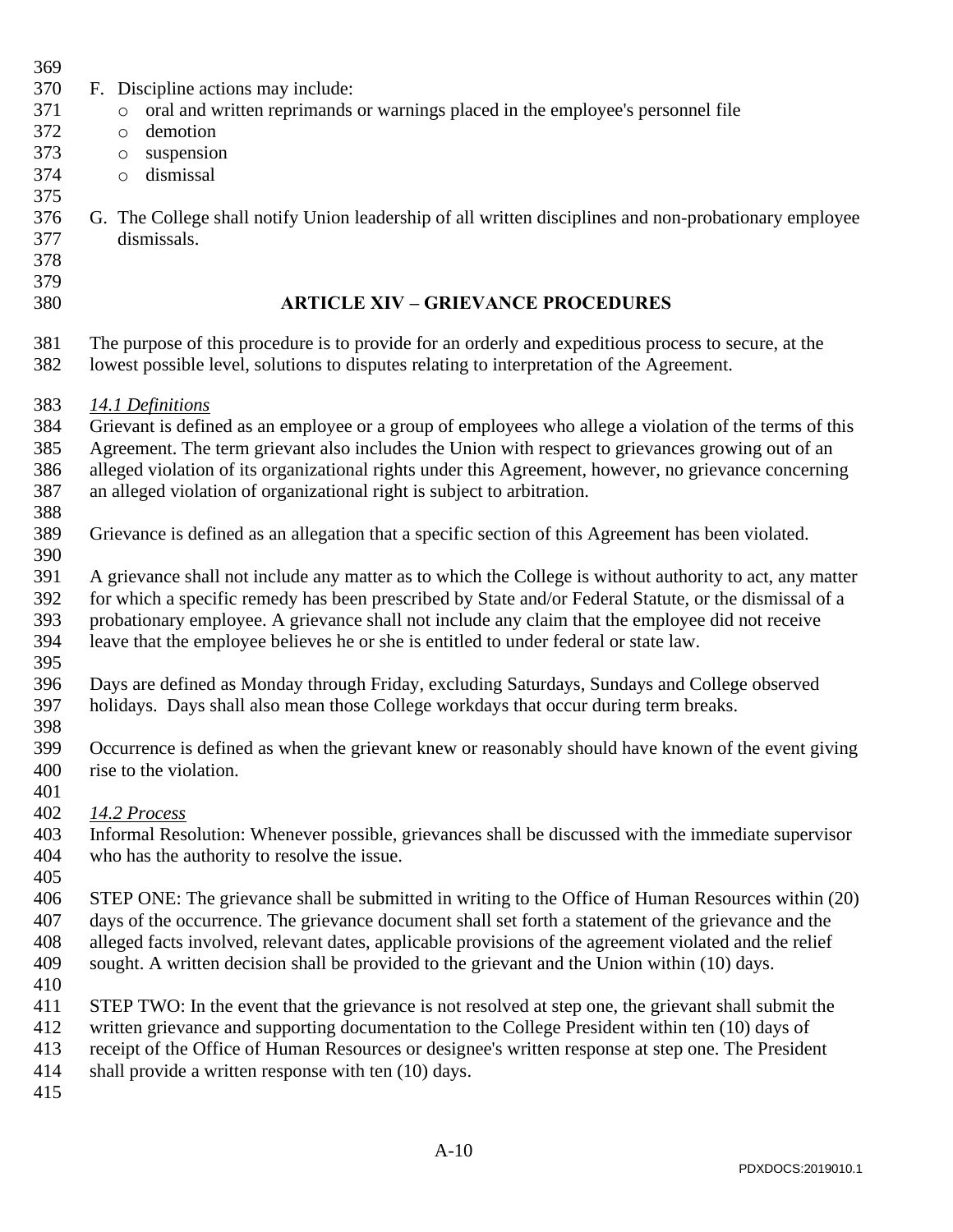<span id="page-9-0"></span>

| 369        |                                                                                                                                                                                                   |  |  |  |  |  |  |  |  |  |  |  |  |
|------------|---------------------------------------------------------------------------------------------------------------------------------------------------------------------------------------------------|--|--|--|--|--|--|--|--|--|--|--|--|
| 370        | F. Discipline actions may include:                                                                                                                                                                |  |  |  |  |  |  |  |  |  |  |  |  |
| 371        | oral and written reprimands or warnings placed in the employee's personnel file<br>$\circ$                                                                                                        |  |  |  |  |  |  |  |  |  |  |  |  |
| 372        | demotion<br>$\circ$                                                                                                                                                                               |  |  |  |  |  |  |  |  |  |  |  |  |
| 373        | suspension<br>$\circlearrowright$                                                                                                                                                                 |  |  |  |  |  |  |  |  |  |  |  |  |
| 374        | dismissal<br>$\circ$                                                                                                                                                                              |  |  |  |  |  |  |  |  |  |  |  |  |
| 375        |                                                                                                                                                                                                   |  |  |  |  |  |  |  |  |  |  |  |  |
| 376        | G. The College shall notify Union leadership of all written disciplines and non-probationary employee                                                                                             |  |  |  |  |  |  |  |  |  |  |  |  |
| 377        | dismissals.                                                                                                                                                                                       |  |  |  |  |  |  |  |  |  |  |  |  |
| 378        |                                                                                                                                                                                                   |  |  |  |  |  |  |  |  |  |  |  |  |
| 379        |                                                                                                                                                                                                   |  |  |  |  |  |  |  |  |  |  |  |  |
| 380        | <b>ARTICLE XIV - GRIEVANCE PROCEDURES</b>                                                                                                                                                         |  |  |  |  |  |  |  |  |  |  |  |  |
| 381<br>382 | The purpose of this procedure is to provide for an orderly and expeditious process to secure, at the<br>lowest possible level, solutions to disputes relating to interpretation of the Agreement. |  |  |  |  |  |  |  |  |  |  |  |  |
| 383        | 14.1 Definitions                                                                                                                                                                                  |  |  |  |  |  |  |  |  |  |  |  |  |
| 384        | Grievant is defined as an employee or a group of employees who allege a violation of the terms of this                                                                                            |  |  |  |  |  |  |  |  |  |  |  |  |
| 385        | Agreement. The term grievant also includes the Union with respect to grievances growing out of an                                                                                                 |  |  |  |  |  |  |  |  |  |  |  |  |
| 386        | alleged violation of its organizational rights under this Agreement, however, no grievance concerning                                                                                             |  |  |  |  |  |  |  |  |  |  |  |  |
| 387        | an alleged violation of organizational right is subject to arbitration.                                                                                                                           |  |  |  |  |  |  |  |  |  |  |  |  |
| 388        |                                                                                                                                                                                                   |  |  |  |  |  |  |  |  |  |  |  |  |
| 389        | Grievance is defined as an allegation that a specific section of this Agreement has been violated.                                                                                                |  |  |  |  |  |  |  |  |  |  |  |  |
| 390        |                                                                                                                                                                                                   |  |  |  |  |  |  |  |  |  |  |  |  |
| 391        | A grievance shall not include any matter as to which the College is without authority to act, any matter                                                                                          |  |  |  |  |  |  |  |  |  |  |  |  |
| 392        | for which a specific remedy has been prescribed by State and/or Federal Statute, or the dismissal of a                                                                                            |  |  |  |  |  |  |  |  |  |  |  |  |
| 393        | probationary employee. A grievance shall not include any claim that the employee did not receive                                                                                                  |  |  |  |  |  |  |  |  |  |  |  |  |
| 394        | leave that the employee believes he or she is entitled to under federal or state law.                                                                                                             |  |  |  |  |  |  |  |  |  |  |  |  |
| 395        |                                                                                                                                                                                                   |  |  |  |  |  |  |  |  |  |  |  |  |
| 396        | Days are defined as Monday through Friday, excluding Saturdays, Sundays and College observed                                                                                                      |  |  |  |  |  |  |  |  |  |  |  |  |
| 397        | holidays. Days shall also mean those College workdays that occur during term breaks.                                                                                                              |  |  |  |  |  |  |  |  |  |  |  |  |
| 398        |                                                                                                                                                                                                   |  |  |  |  |  |  |  |  |  |  |  |  |
| 399        | Occurrence is defined as when the grievant knew or reasonably should have known of the event giving                                                                                               |  |  |  |  |  |  |  |  |  |  |  |  |
| 400        | rise to the violation.                                                                                                                                                                            |  |  |  |  |  |  |  |  |  |  |  |  |
| 401        |                                                                                                                                                                                                   |  |  |  |  |  |  |  |  |  |  |  |  |
| 402        | 14.2 Process                                                                                                                                                                                      |  |  |  |  |  |  |  |  |  |  |  |  |
| 403        | Informal Resolution: Whenever possible, grievances shall be discussed with the immediate supervisor                                                                                               |  |  |  |  |  |  |  |  |  |  |  |  |
| 404        | who has the authority to resolve the issue.                                                                                                                                                       |  |  |  |  |  |  |  |  |  |  |  |  |
| 405        |                                                                                                                                                                                                   |  |  |  |  |  |  |  |  |  |  |  |  |
| 406        | STEP ONE: The grievance shall be submitted in writing to the Office of Human Resources within (20)                                                                                                |  |  |  |  |  |  |  |  |  |  |  |  |
| 407        | days of the occurrence. The grievance document shall set forth a statement of the grievance and the                                                                                               |  |  |  |  |  |  |  |  |  |  |  |  |
| 408        | alleged facts involved, relevant dates, applicable provisions of the agreement violated and the relief                                                                                            |  |  |  |  |  |  |  |  |  |  |  |  |
| 409        | sought. A written decision shall be provided to the grievant and the Union within (10) days.                                                                                                      |  |  |  |  |  |  |  |  |  |  |  |  |
| 410        |                                                                                                                                                                                                   |  |  |  |  |  |  |  |  |  |  |  |  |
| 411        | STEP TWO: In the event that the grievance is not resolved at step one, the grievant shall submit the                                                                                              |  |  |  |  |  |  |  |  |  |  |  |  |
| 412        | written grievance and supporting documentation to the College President within ten (10) days of                                                                                                   |  |  |  |  |  |  |  |  |  |  |  |  |
| 413        | receipt of the Office of Human Resources or designee's written response at step one. The President                                                                                                |  |  |  |  |  |  |  |  |  |  |  |  |
| 414        | shall provide a written response with ten (10) days.                                                                                                                                              |  |  |  |  |  |  |  |  |  |  |  |  |
| 415        |                                                                                                                                                                                                   |  |  |  |  |  |  |  |  |  |  |  |  |
|            |                                                                                                                                                                                                   |  |  |  |  |  |  |  |  |  |  |  |  |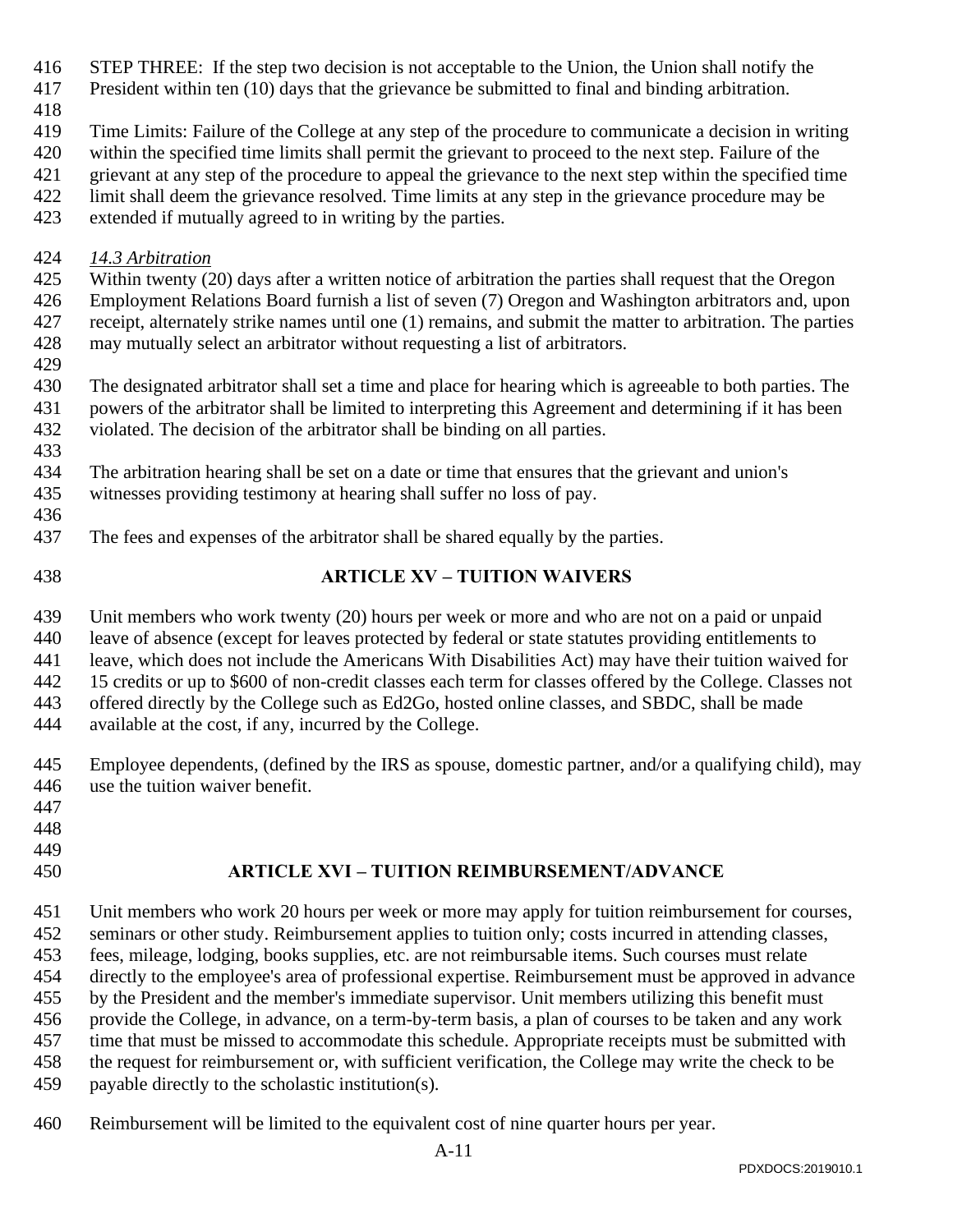- STEP THREE: If the step two decision is not acceptable to the Union, the Union shall notify the
- President within ten (10) days that the grievance be submitted to final and binding arbitration.
- 

Time Limits: Failure of the College at any step of the procedure to communicate a decision in writing

within the specified time limits shall permit the grievant to proceed to the next step. Failure of the

grievant at any step of the procedure to appeal the grievance to the next step within the specified time

- limit shall deem the grievance resolved. Time limits at any step in the grievance procedure may be
- extended if mutually agreed to in writing by the parties.
- *14.3 Arbitration*

Within twenty (20) days after a written notice of arbitration the parties shall request that the Oregon

 Employment Relations Board furnish a list of seven (7) Oregon and Washington arbitrators and, upon receipt, alternately strike names until one (1) remains, and submit the matter to arbitration. The parties

- may mutually select an arbitrator without requesting a list of arbitrators.
- 

 The designated arbitrator shall set a time and place for hearing which is agreeable to both parties. The powers of the arbitrator shall be limited to interpreting this Agreement and determining if it has been violated. The decision of the arbitrator shall be binding on all parties.

- 
- The arbitration hearing shall be set on a date or time that ensures that the grievant and union's
- witnesses providing testimony at hearing shall suffer no loss of pay.
- 
- The fees and expenses of the arbitrator shall be shared equally by the parties.
- <span id="page-10-0"></span>

### **ARTICLE XV – TUITION WAIVERS**

Unit members who work twenty (20) hours per week or more and who are not on a paid or unpaid

leave of absence (except for leaves protected by federal or state statutes providing entitlements to

leave, which does not include the Americans With Disabilities Act) may have their tuition waived for

15 credits or up to \$600 of non-credit classes each term for classes offered by the College. Classes not

offered directly by the College such as Ed2Go, hosted online classes, and SBDC, shall be made

available at the cost, if any, incurred by the College.

- Employee dependents, (defined by the IRS as spouse, domestic partner, and/or a qualifying child), may use the tuition waiver benefit.
- 
- 
- 

# <span id="page-10-1"></span>**ARTICLE XVI – TUITION REIMBURSEMENT/ADVANCE**

 Unit members who work 20 hours per week or more may apply for tuition reimbursement for courses, seminars or other study. Reimbursement applies to tuition only; costs incurred in attending classes,

fees, mileage, lodging, books supplies, etc. are not reimbursable items. Such courses must relate

directly to the employee's area of professional expertise. Reimbursement must be approved in advance

by the President and the member's immediate supervisor. Unit members utilizing this benefit must

provide the College, in advance, on a term-by-term basis, a plan of courses to be taken and any work

time that must be missed to accommodate this schedule. Appropriate receipts must be submitted with

the request for reimbursement or, with sufficient verification, the College may write the check to be

payable directly to the scholastic institution(s).

Reimbursement will be limited to the equivalent cost of nine quarter hours per year.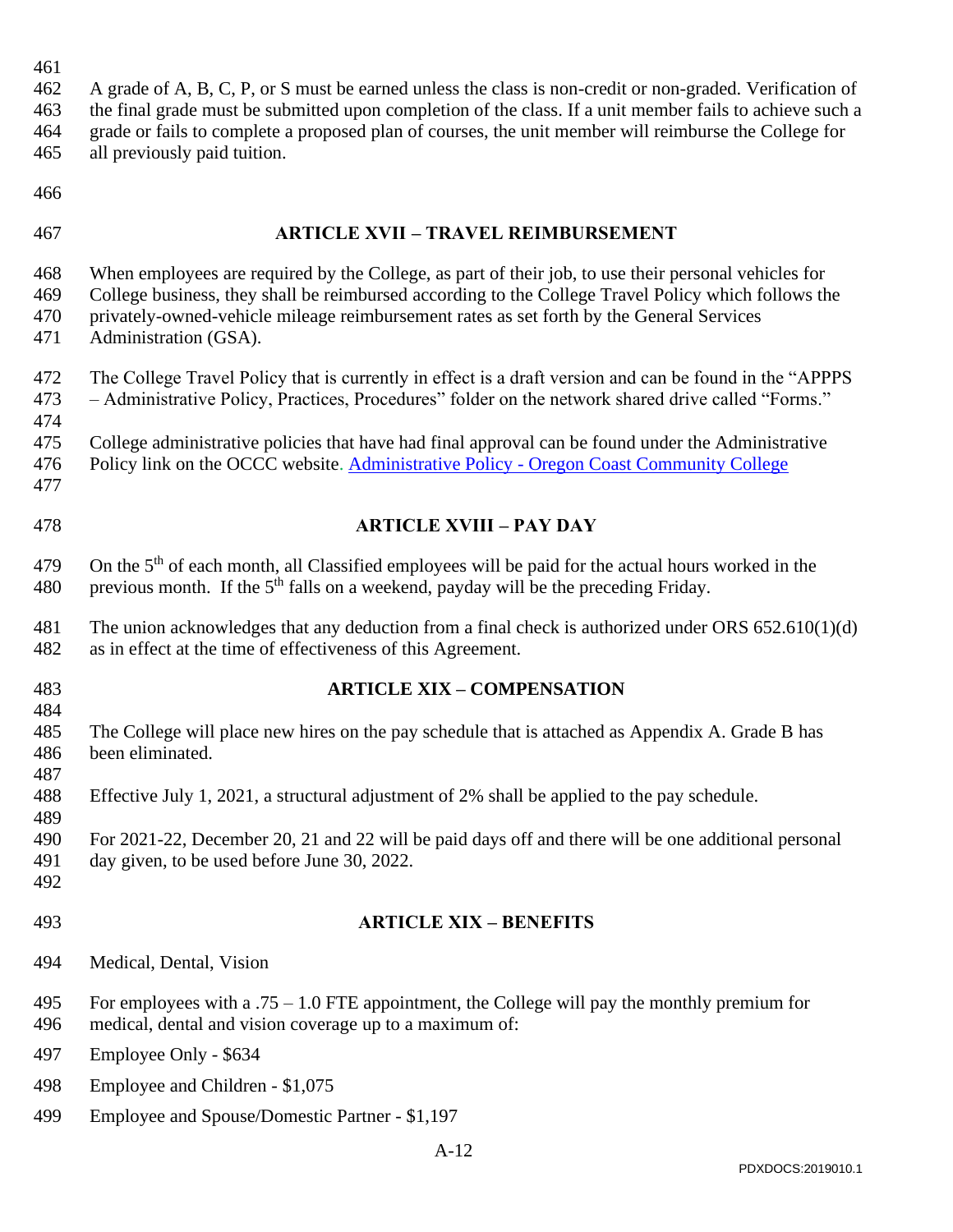A grade of A, B, C, P, or S must be earned unless the class is non-credit or non-graded. Verification of the final grade must be submitted upon completion of the class. If a unit member fails to achieve such a grade or fails to complete a proposed plan of courses, the unit member will reimburse the College for all previously paid tuition.

- 
- 

#### <span id="page-11-0"></span>**ARTICLE XVII – TRAVEL REIMBURSEMENT**

 When employees are required by the College, as part of their job, to use their personal vehicles for College business, they shall be reimbursed according to the College Travel Policy which follows the privately-owned-vehicle mileage reimbursement rates as set forth by the General Services

- Administration (GSA).
- The College Travel Policy that is currently in effect is a draft version and can be found in the "APPPS – Administrative Policy, Practices, Procedures" folder on the network shared drive called "Forms."
- College administrative policies that have had final approval can be found under the Administrative
- Policy link on the OCCC website. Administrative Policy [Oregon Coast Community College](https://oregoncoast.edu/administrative-policy/)
- 
- <span id="page-11-1"></span>

### **ARTICLE XVIII – PAY DAY**

479 On the  $5<sup>th</sup>$  of each month, all Classified employees will be paid for the actual hours worked in the 480 previous month. If the  $5<sup>th</sup>$  falls on a weekend, payday will be the preceding Friday.

- The union acknowledges that any deduction from a final check is authorized under ORS 652.610(1)(d) as in effect at the time of effectiveness of this Agreement.
- 

#### **ARTICLE XIX – COMPENSATION**

- The College will place new hires on the pay schedule that is attached as Appendix A. Grade B has been eliminated.
- Effective July 1, 2021, a structural adjustment of 2% shall be applied to the pay schedule.

 For 2021-22, December 20, 21 and 22 will be paid days off and there will be one additional personal day given, to be used before June 30, 2022.

#### <span id="page-11-2"></span>**ARTICLE XIX – BENEFITS**

- Medical, Dental, Vision
- For employees with a .75 1.0 FTE appointment, the College will pay the monthly premium for medical, dental and vision coverage up to a maximum of:

Employee Only - \$634

- Employee and Children \$1,075
- Employee and Spouse/Domestic Partner \$1,197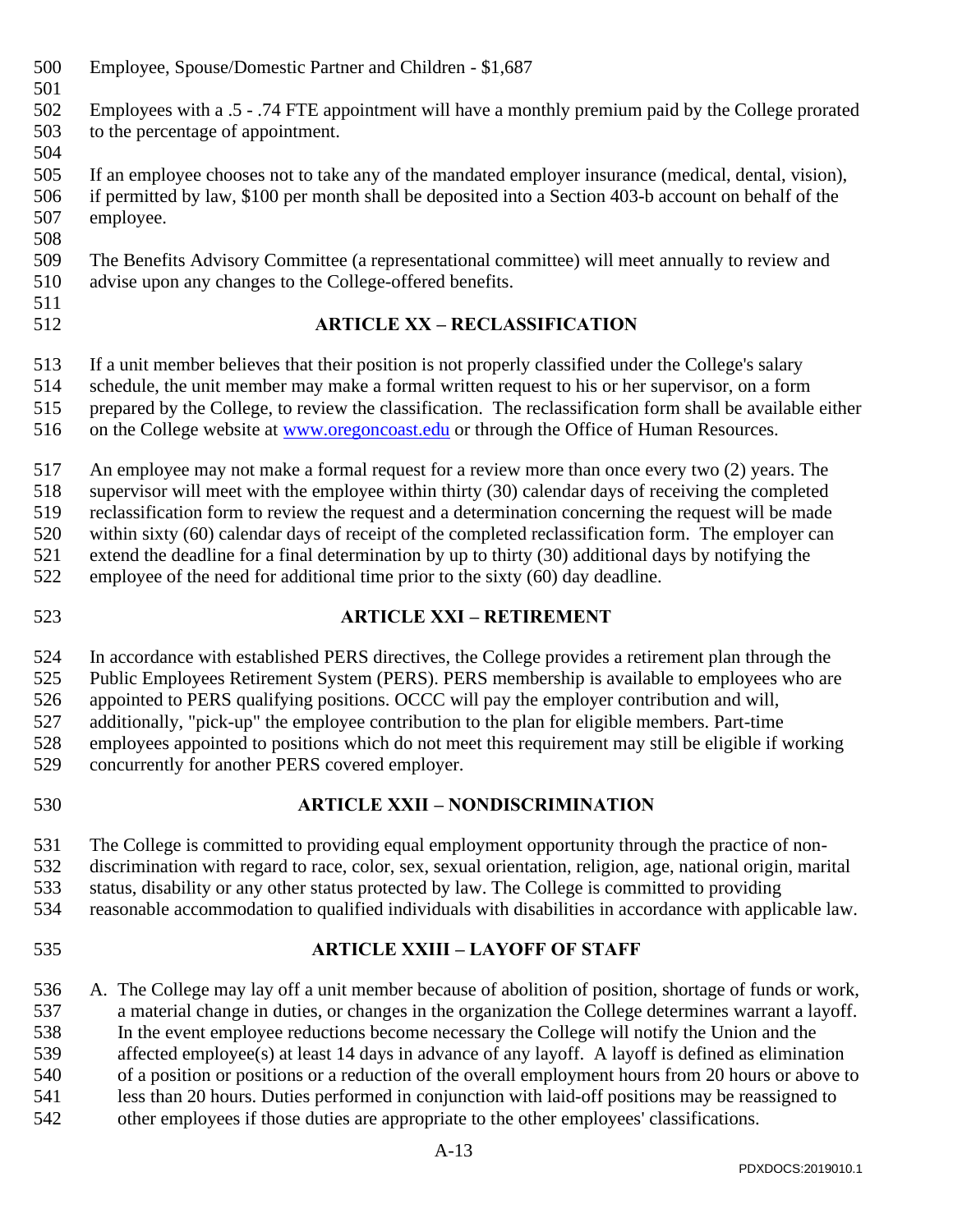- Employee, Spouse/Domestic Partner and Children \$1,687
- 
- Employees with a .5 .74 FTE appointment will have a monthly premium paid by the College prorated to the percentage of appointment.
- 
- If an employee chooses not to take any of the mandated employer insurance (medical, dental, vision), if permitted by law, \$100 per month shall be deposited into a Section 403-b account on behalf of the employee.
- The Benefits Advisory Committee (a representational committee) will meet annually to review and advise upon any changes to the College-offered benefits.
- 

# <span id="page-12-0"></span>**ARTICLE XX – RECLASSIFICATION**

If a unit member believes that their position is not properly classified under the College's salary

schedule, the unit member may make a formal written request to his or her supervisor, on a form

- prepared by the College, to review the classification. The reclassification form shall be available either
- 516 on the College website at [www.oregoncoast.edu](http://www.oregoncoast.edu/) or through the Office of Human Resources.

An employee may not make a formal request for a review more than once every two (2) years. The

supervisor will meet with the employee within thirty (30) calendar days of receiving the completed

reclassification form to review the request and a determination concerning the request will be made

within sixty (60) calendar days of receipt of the completed reclassification form. The employer can

extend the deadline for a final determination by up to thirty (30) additional days by notifying the

employee of the need for additional time prior to the sixty (60) day deadline.

<span id="page-12-1"></span>

# **ARTICLE XXI – RETIREMENT**

In accordance with established PERS directives, the College provides a retirement plan through the

Public Employees Retirement System (PERS). PERS membership is available to employees who are

appointed to PERS qualifying positions. OCCC will pay the employer contribution and will,

 additionally, "pick-up" the employee contribution to the plan for eligible members. Part-time employees appointed to positions which do not meet this requirement may still be eligible if working

concurrently for another PERS covered employer.

<span id="page-12-2"></span>

# **ARTICLE XXII – NONDISCRIMINATION**

The College is committed to providing equal employment opportunity through the practice of non-

discrimination with regard to race, color, sex, sexual orientation, religion, age, national origin, marital

status, disability or any other status protected by law. The College is committed to providing

- reasonable accommodation to qualified individuals with disabilities in accordance with applicable law.
- <span id="page-12-3"></span>

# **ARTICLE XXIII – LAYOFF OF STAFF**

 A. The College may lay off a unit member because of abolition of position, shortage of funds or work, a material change in duties, or changes in the organization the College determines warrant a layoff. In the event employee reductions become necessary the College will notify the Union and the affected employee(s) at least 14 days in advance of any layoff. A layoff is defined as elimination of a position or positions or a reduction of the overall employment hours from 20 hours or above to less than 20 hours. Duties performed in conjunction with laid-off positions may be reassigned to other employees if those duties are appropriate to the other employees' classifications.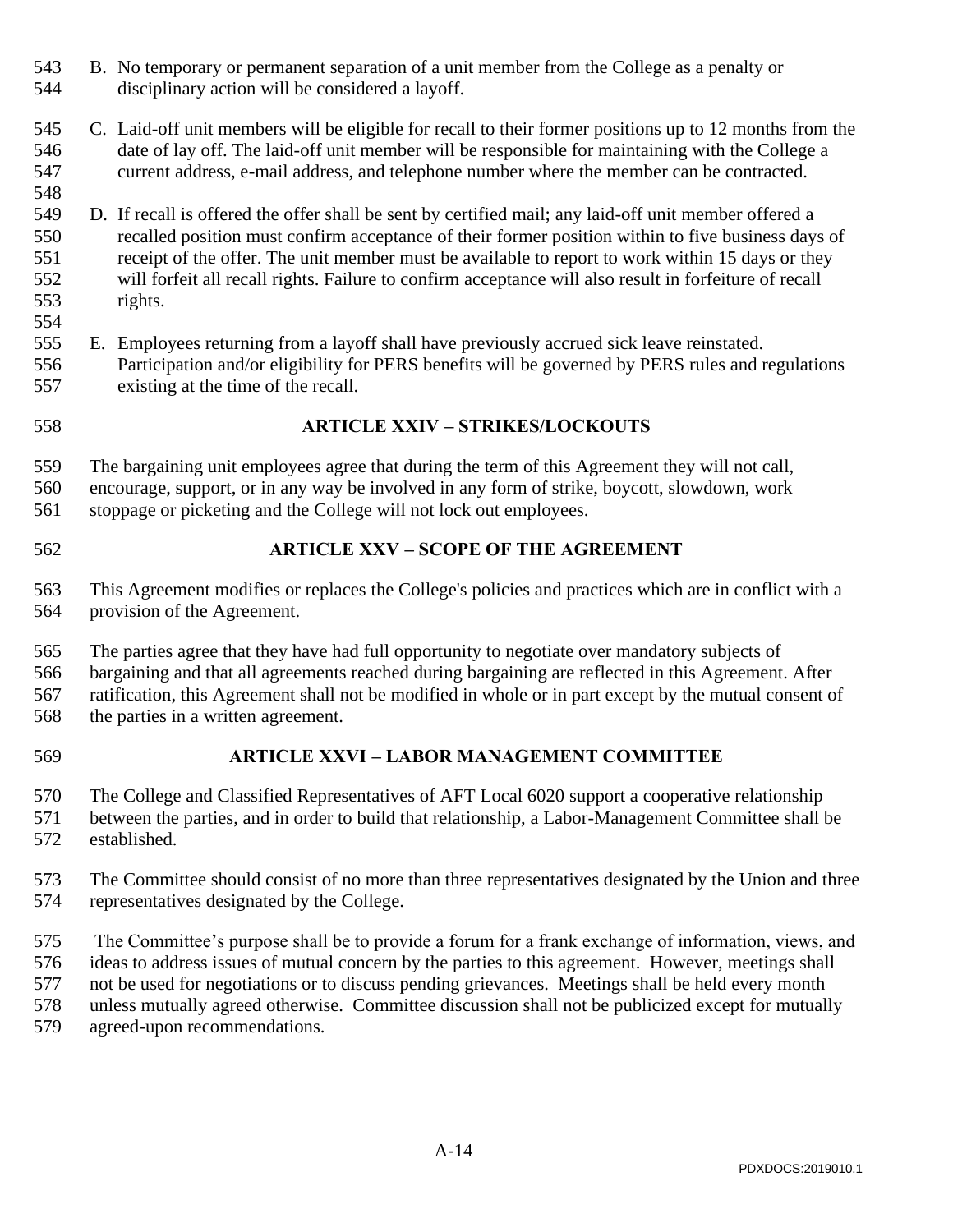- B. No temporary or permanent separation of a unit member from the College as a penalty or disciplinary action will be considered a layoff.
- C. Laid-off unit members will be eligible for recall to their former positions up to 12 months from the date of lay off. The laid-off unit member will be responsible for maintaining with the College a current address, e-mail address, and telephone number where the member can be contracted.
- D. If recall is offered the offer shall be sent by certified mail; any laid-off unit member offered a recalled position must confirm acceptance of their former position within to five business days of receipt of the offer. The unit member must be available to report to work within 15 days or they will forfeit all recall rights. Failure to confirm acceptance will also result in forfeiture of recall rights.
- E. Employees returning from a layoff shall have previously accrued sick leave reinstated. Participation and/or eligibility for PERS benefits will be governed by PERS rules and regulations existing at the time of the recall.
- <span id="page-13-0"></span>

### **ARTICLE XXIV – STRIKES/LOCKOUTS**

- The bargaining unit employees agree that during the term of this Agreement they will not call,
- encourage, support, or in any way be involved in any form of strike, boycott, slowdown, work
- stoppage or picketing and the College will not lock out employees.
- <span id="page-13-1"></span>

### **ARTICLE XXV – SCOPE OF THE AGREEMENT**

- This Agreement modifies or replaces the College's policies and practices which are in conflict with a provision of the Agreement.
- The parties agree that they have had full opportunity to negotiate over mandatory subjects of bargaining and that all agreements reached during bargaining are reflected in this Agreement. After ratification, this Agreement shall not be modified in whole or in part except by the mutual consent of the parties in a written agreement.
- 

### **ARTICLE XXVI – LABOR MANAGEMENT COMMITTEE**

- The College and Classified Representatives of AFT Local 6020 support a cooperative relationship between the parties, and in order to build that relationship, a Labor-Management Committee shall be established.
- The Committee should consist of no more than three representatives designated by the Union and three representatives designated by the College.
- The Committee's purpose shall be to provide a forum for a frank exchange of information, views, and ideas to address issues of mutual concern by the parties to this agreement. However, meetings shall not be used for negotiations or to discuss pending grievances. Meetings shall be held every month unless mutually agreed otherwise. Committee discussion shall not be publicized except for mutually agreed-upon recommendations.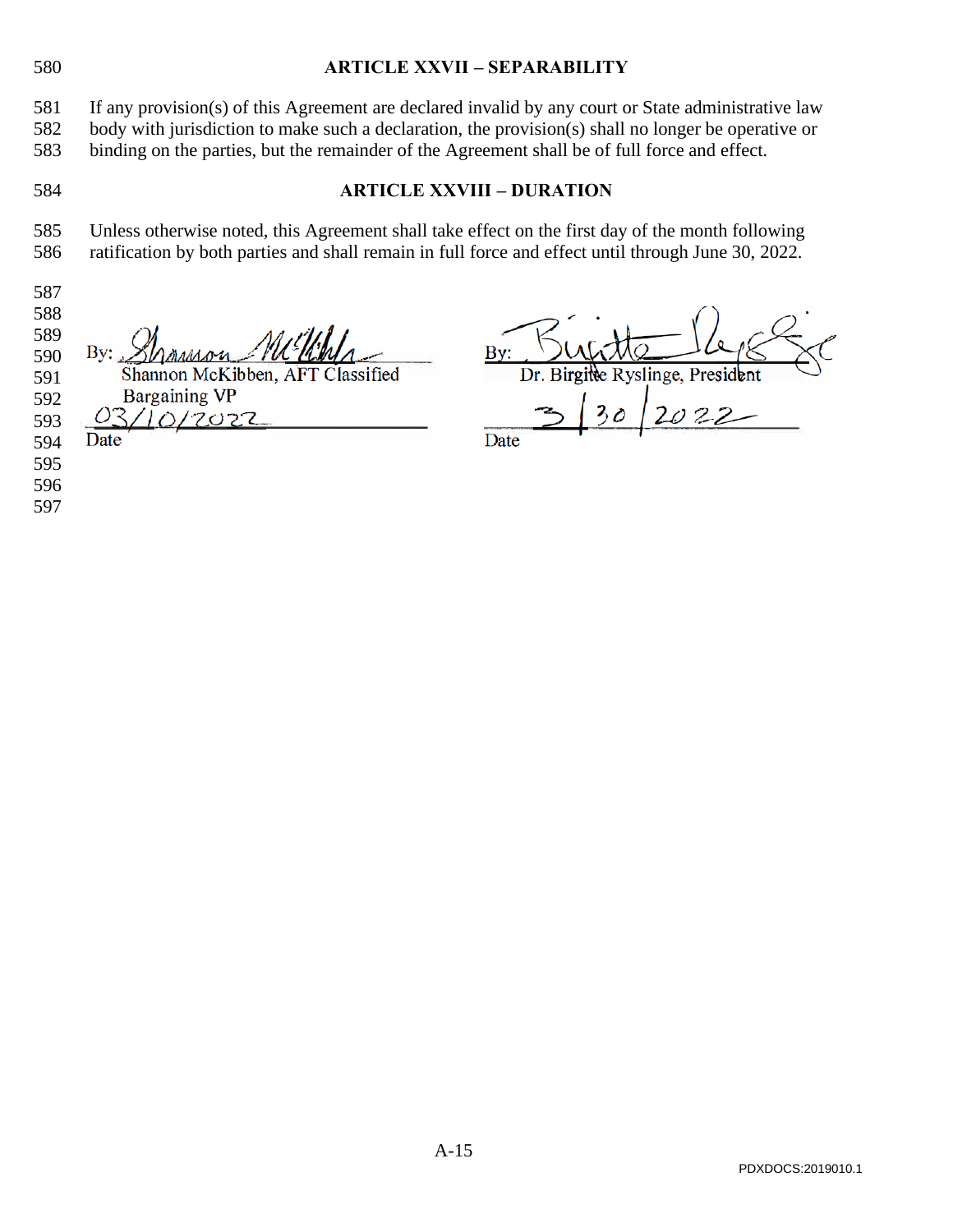<span id="page-14-1"></span><span id="page-14-0"></span>

| 580                                                                |                                                                                                                                                                                                                                                                                                             | <b>ARTICLE XXVII - SEPARABILITY</b>      |  |  |  |  |  |  |  |  |  |
|--------------------------------------------------------------------|-------------------------------------------------------------------------------------------------------------------------------------------------------------------------------------------------------------------------------------------------------------------------------------------------------------|------------------------------------------|--|--|--|--|--|--|--|--|--|
| 581<br>582<br>583                                                  | If any provision(s) of this Agreement are declared invalid by any court or State administrative law<br>body with jurisdiction to make such a declaration, the provision(s) shall no longer be operative or<br>binding on the parties, but the remainder of the Agreement shall be of full force and effect. |                                          |  |  |  |  |  |  |  |  |  |
| 584                                                                |                                                                                                                                                                                                                                                                                                             | <b>ARTICLE XXVIII - DURATION</b>         |  |  |  |  |  |  |  |  |  |
| 585<br>586<br>587                                                  | Unless otherwise noted, this Agreement shall take effect on the first day of the month following<br>ratification by both parties and shall remain in full force and effect until through June 30, 2022.                                                                                                     |                                          |  |  |  |  |  |  |  |  |  |
| 588<br>589<br>590<br>591<br>592<br>593<br>594<br>595<br>596<br>597 | By:<br>Shannon McKibben, AFT Classified<br><b>Bargaining VP</b><br>7022<br>Date                                                                                                                                                                                                                             | Dr. Birgitte Ryslinge, President<br>Date |  |  |  |  |  |  |  |  |  |